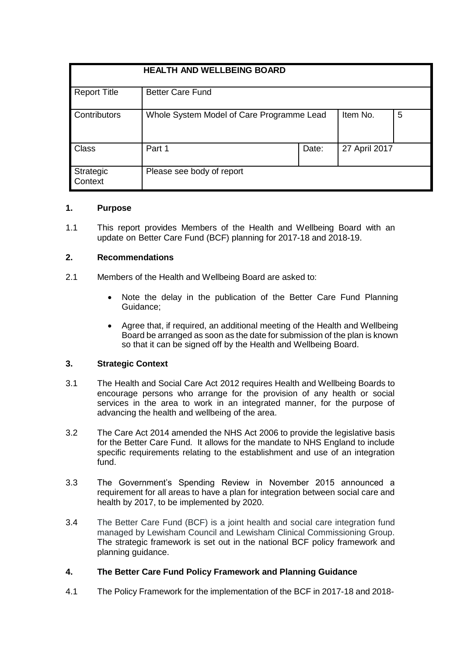| <b>HEALTH AND WELLBEING BOARD</b> |                                           |       |               |   |
|-----------------------------------|-------------------------------------------|-------|---------------|---|
| <b>Report Title</b>               | <b>Better Care Fund</b>                   |       |               |   |
| Contributors                      | Whole System Model of Care Programme Lead |       | Item No.      | 5 |
| Class                             | Part 1                                    | Date: | 27 April 2017 |   |
| Strategic<br>Context              | Please see body of report                 |       |               |   |

## **1. Purpose**

1.1 This report provides Members of the Health and Wellbeing Board with an update on Better Care Fund (BCF) planning for 2017-18 and 2018-19.

#### **2. Recommendations**

- 2.1 Members of the Health and Wellbeing Board are asked to:
	- Note the delay in the publication of the Better Care Fund Planning Guidance;
	- Agree that, if required, an additional meeting of the Health and Wellbeing Board be arranged as soon as the date for submission of the plan is known so that it can be signed off by the Health and Wellbeing Board.

## **3. Strategic Context**

- 3.1 The Health and Social Care Act 2012 requires Health and Wellbeing Boards to encourage persons who arrange for the provision of any health or social services in the area to work in an integrated manner, for the purpose of advancing the health and wellbeing of the area.
- 3.2 The Care Act 2014 amended the NHS Act 2006 to provide the legislative basis for the Better Care Fund. It allows for the mandate to NHS England to include specific requirements relating to the establishment and use of an integration fund.
- 3.3 The Government's Spending Review in November 2015 announced a requirement for all areas to have a plan for integration between social care and health by 2017, to be implemented by 2020.
- 3.4 The Better Care Fund (BCF) is a joint health and social care integration fund managed by Lewisham Council and Lewisham Clinical Commissioning Group. The strategic framework is set out in the national BCF policy framework and planning guidance.

## **4. The Better Care Fund Policy Framework and Planning Guidance**

4.1 The Policy Framework for the implementation of the BCF in 2017-18 and 2018-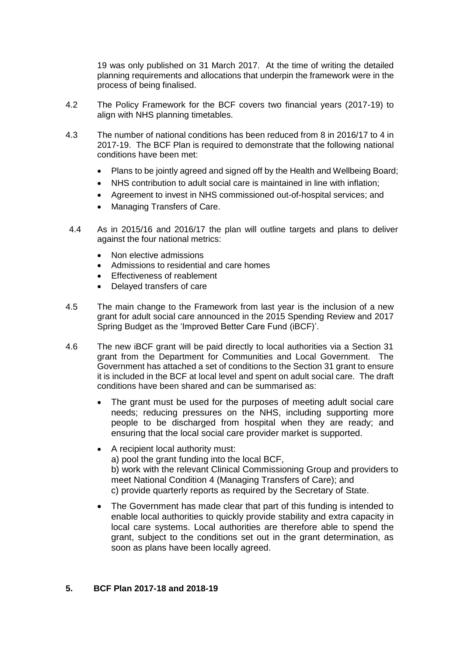19 was only published on 31 March 2017. At the time of writing the detailed planning requirements and allocations that underpin the framework were in the process of being finalised.

- 4.2 The Policy Framework for the BCF covers two financial years (2017-19) to align with NHS planning timetables.
- 4.3 The number of national conditions has been reduced from 8 in 2016/17 to 4 in 2017-19. The BCF Plan is required to demonstrate that the following national conditions have been met:
	- Plans to be jointly agreed and signed off by the Health and Wellbeing Board;
	- NHS contribution to adult social care is maintained in line with inflation;
	- Agreement to invest in NHS commissioned out-of-hospital services; and
	- Managing Transfers of Care.
- 4.4 As in 2015/16 and 2016/17 the plan will outline targets and plans to deliver against the four national metrics:
	- Non elective admissions
	- Admissions to residential and care homes
	- Effectiveness of reablement
	- Delayed transfers of care
- 4.5 The main change to the Framework from last year is the inclusion of a new grant for adult social care announced in the 2015 Spending Review and 2017 Spring Budget as the 'Improved Better Care Fund (iBCF)'.
- 4.6 The new iBCF grant will be paid directly to local authorities via a Section 31 grant from the Department for Communities and Local Government. The Government has attached a set of conditions to the Section 31 grant to ensure it is included in the BCF at local level and spent on adult social care. The draft conditions have been shared and can be summarised as:
	- The grant must be used for the purposes of meeting adult social care needs; reducing pressures on the NHS, including supporting more people to be discharged from hospital when they are ready; and ensuring that the local social care provider market is supported.
	- A recipient local authority must: a) pool the grant funding into the local BCF, b) work with the relevant Clinical Commissioning Group and providers to meet National Condition 4 (Managing Transfers of Care); and c) provide quarterly reports as required by the Secretary of State.
	- The Government has made clear that part of this funding is intended to enable local authorities to quickly provide stability and extra capacity in local care systems. Local authorities are therefore able to spend the grant, subject to the conditions set out in the grant determination, as soon as plans have been locally agreed.

#### **5. BCF Plan 2017-18 and 2018-19**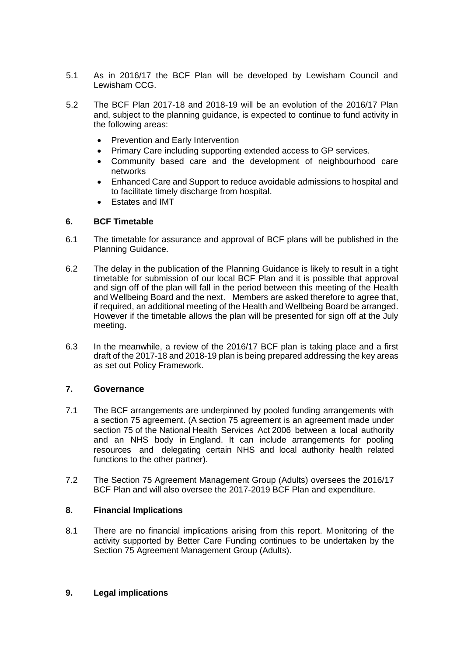- 5.1 As in 2016/17 the BCF Plan will be developed by Lewisham Council and Lewisham CCG.
- 5.2 The BCF Plan 2017-18 and 2018-19 will be an evolution of the 2016/17 Plan and, subject to the planning guidance, is expected to continue to fund activity in the following areas:
	- Prevention and Early Intervention
	- Primary Care including supporting extended access to GP services.
	- Community based care and the development of neighbourhood care networks
	- Enhanced Care and Support to reduce avoidable admissions to hospital and to facilitate timely discharge from hospital.
	- Estates and IMT

## **6. BCF Timetable**

- 6.1 The timetable for assurance and approval of BCF plans will be published in the Planning Guidance.
- 6.2 The delay in the publication of the Planning Guidance is likely to result in a tight timetable for submission of our local BCF Plan and it is possible that approval and sign off of the plan will fall in the period between this meeting of the Health and Wellbeing Board and the next. Members are asked therefore to agree that, if required, an additional meeting of the Health and Wellbeing Board be arranged. However if the timetable allows the plan will be presented for sign off at the July meeting.
- 6.3 In the meanwhile, a review of the 2016/17 BCF plan is taking place and a first draft of the 2017-18 and 2018-19 plan is being prepared addressing the key areas as set out Policy Framework.

# **7. Governance**

- 7.1 The BCF arrangements are underpinned by pooled funding arrangements with a section 75 agreement. (A section 75 agreement is an agreement made under section 75 of the National Health Services Act 2006 between a local authority and an NHS body in England. It can include arrangements for pooling resources and delegating certain NHS and local authority health related functions to the other partner).
- 7.2 The Section 75 Agreement Management Group (Adults) oversees the 2016/17 BCF Plan and will also oversee the 2017-2019 BCF Plan and expenditure.

## **8. Financial Implications**

8.1 There are no financial implications arising from this report. Monitoring of the activity supported by Better Care Funding continues to be undertaken by the Section 75 Agreement Management Group (Adults).

## **9. Legal implications**